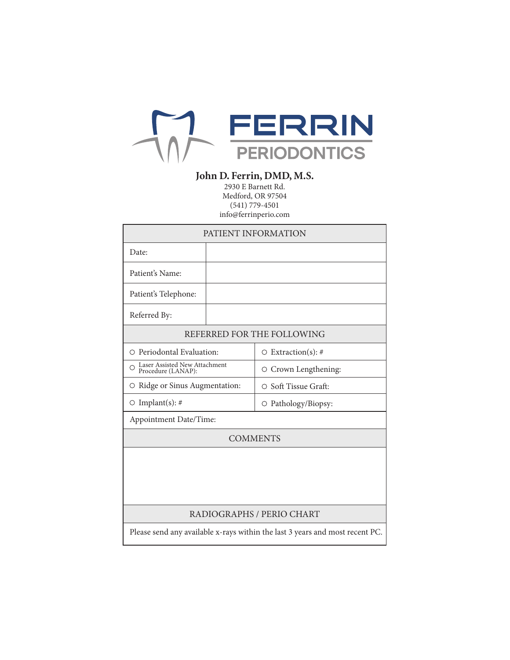

# **John D. Ferrin, DMD, M.S.**

2930 E Barnett Rd. Medford, OR 97504 (541) 779-4501 info@ferrinperio.com

| PATIENT INFORMATION                                                          |  |                            |
|------------------------------------------------------------------------------|--|----------------------------|
| Date:                                                                        |  |                            |
| Patient's Name:                                                              |  |                            |
| Patient's Telephone:                                                         |  |                            |
| Referred By:                                                                 |  |                            |
| REFERRED FOR THE FOLLOWING                                                   |  |                            |
| O Periodontal Evaluation:                                                    |  | $\circ$ Extraction(s): #   |
| Laser Assisted New Attachment<br>Procedure (LANAP):<br>∩                     |  | O Crown Lengthening:       |
| ○ Ridge or Sinus Augmentation:                                               |  | $\circ$ Soft Tissue Graft: |
| $\circ$ Implant(s): #                                                        |  | O Pathology/Biopsy:        |
| Appointment Date/Time:                                                       |  |                            |
| <b>COMMENTS</b>                                                              |  |                            |
|                                                                              |  |                            |
|                                                                              |  |                            |
|                                                                              |  |                            |
| RADIOGRAPHS / PERIO CHART                                                    |  |                            |
| Please send any available x-rays within the last 3 years and most recent PC. |  |                            |